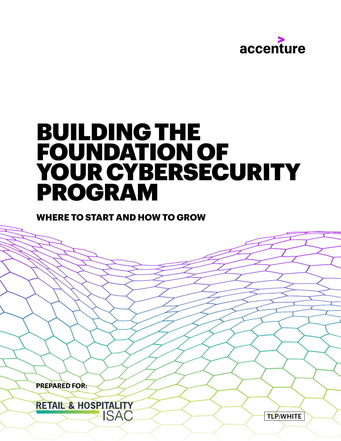

# BUILDING THE FOUNDATION OF YOUR CYBERSECURITY PROGRAM

### **WHERE TO START AND HOW TO GROW**

 **PREPARED FOR:**

RETAIL & HOSPITALITY **ISAC**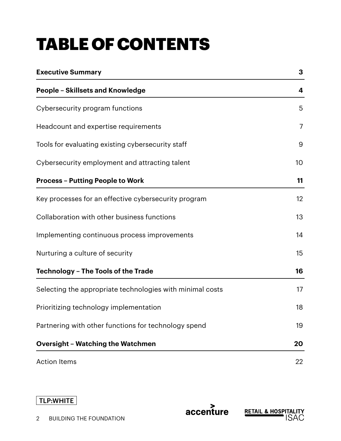# TABLE OF CONTENTS

| <b>Executive Summary</b>                                  | 3               |
|-----------------------------------------------------------|-----------------|
| <b>People - Skillsets and Knowledge</b>                   | 4               |
| Cybersecurity program functions                           | 5               |
| Headcount and expertise requirements                      | 7               |
| Tools for evaluating existing cybersecurity staff         | 9               |
| Cybersecurity employment and attracting talent            | 10 <sup>°</sup> |
| <b>Process - Putting People to Work</b>                   | 11              |
| Key processes for an effective cybersecurity program      | $12 \,$         |
| Collaboration with other business functions               | 13              |
| Implementing continuous process improvements              | 14              |
| Nurturing a culture of security                           | 15              |
| <b>Technology - The Tools of the Trade</b>                | 16              |
| Selecting the appropriate technologies with minimal costs | 17              |
| Prioritizing technology implementation                    | 18              |
| Partnering with other functions for technology spend      | 19              |
| <b>Oversight - Watching the Watchmen</b>                  | 20              |
| <b>Action Items</b>                                       | 22              |

accenture

**RETAIL & HOSPITALITY**<br>ISAC

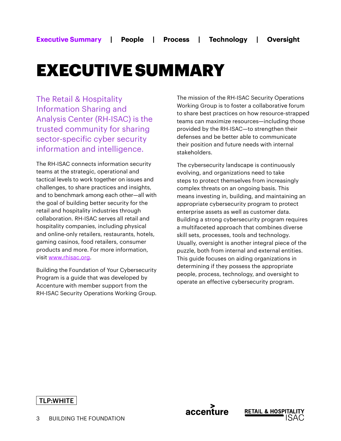## EXECUTIVE SUMMARY

The Retail & Hospitality Information Sharing and Analysis Center (RH-ISAC) is the trusted community for sharing sector-specific cyber security information and intelligence.

The RH-ISAC connects information security teams at the strategic, operational and tactical levels to work together on issues and challenges, to share practices and insights, and to benchmark among each other—all with the goal of building better security for the retail and hospitality industries through collaboration. RH-ISAC serves all retail and hospitality companies, including physical and online-only retailers, restaurants, hotels, gaming casinos, food retailers, consumer products and more. For more information, visit www.rhisac.org.

Building the Foundation of Your Cybersecurity Program is a guide that was developed by Accenture with member support from the RH-ISAC Security Operations Working Group.

The mission of the RH-ISAC Security Operations Working Group is to foster a collaborative forum to share best practices on how resource-strapped teams can maximize resources—including those provided by the RH-ISAC—to strengthen their defenses and be better able to communicate their position and future needs with internal stakeholders.

The cybersecurity landscape is continuously evolving, and organizations need to take steps to protect themselves from increasingly complex threats on an ongoing basis. This means investing in, building, and maintaining an appropriate cybersecurity program to protect enterprise assets as well as customer data. Building a strong cybersecurity program requires a multifaceted approach that combines diverse skill sets, processes, tools and technology. Usually, oversight is another integral piece of the puzzle, both from internal and external entities. This guide focuses on aiding organizations in determining if they possess the appropriate people, process, technology, and oversight to operate an effective cybersecurity program.

accenture

**RETAIL & HOSPI**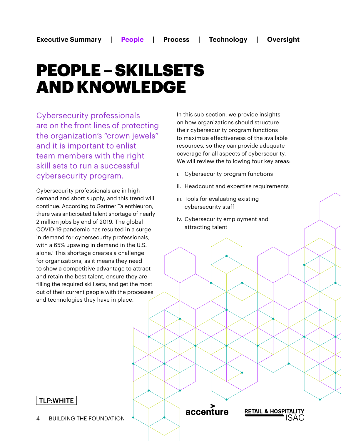## PEOPLE – SKILLSETS AND KNOWLEDGE

Cybersecurity professionals are on the front lines of protecting the organization's "crown jewels" and it is important to enlist team members with the right skill sets to run a successful cybersecurity program.

Cybersecurity professionals are in high demand and short supply, and this trend will continue. According to Gartner TalentNeuron, there was anticipated talent shortage of nearly 2 million jobs by end of 2019. The global COVID-19 pandemic has resulted in a surge in demand for cybersecurity professionals, with a 65% upswing in demand in the U.S. alone.1 This shortage creates a challenge for organizations, as it means they need to show a competitive advantage to attract and retain the best talent, ensure they are filling the required skill sets, and get the most out of their current people with the processes and technologies they have in place.

In this sub-section, we provide insights on how organizations should structure their cybersecurity program functions to maximize effectiveness of the available resources, so they can provide adequate coverage for all aspects of cybersecurity. We will review the following four key areas:

- i. Cybersecurity program functions
- ii. Headcount and expertise requirements
- iii. Tools for evaluating existing cybersecurity staff
- iv. Cybersecurity employment and attracting talent

#### TLP:WHITE

accenture

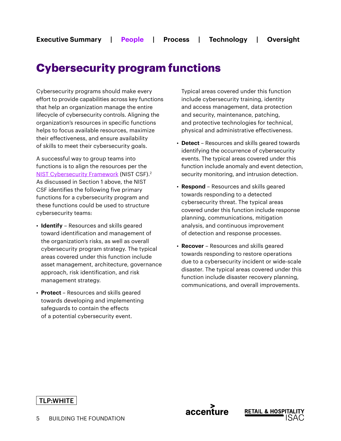## **Cybersecurity program functions**

Cybersecurity programs should make every effort to provide capabilities across key functions that help an organization manage the entire lifecycle of cybersecurity controls. Aligning the organization's resources in specific functions helps to focus available resources, maximize their effectiveness, and ensure availability of skills to meet their cybersecurity goals.

A successful way to group teams into functions is to align the resources per the [NIST Cybersecurity Framework](https://www.nist.gov/cyberframework) (NIST CSF).2 As discussed in Section 1 above, the NIST CSF identifies the following five primary functions for a cybersecurity program and these functions could be used to structure cybersecurity teams:

- **Identify** Resources and skills geared toward identification and management of the organization's risks, as well as overall cybersecurity program strategy. The typical areas covered under this function include asset management, architecture, governance approach, risk identification, and risk management strategy.
- **Protect**  Resources and skills geared towards developing and implementing safeguards to contain the effects of a potential cybersecurity event.

Typical areas covered under this function include cybersecurity training, identity and access management, data protection and security, maintenance, patching, and protective technologies for technical, physical and administrative effectiveness.

- **Detect** Resources and skills geared towards identifying the occurrence of cybersecurity events. The typical areas covered under this function include anomaly and event detection, security monitoring, and intrusion detection.
- **Respond** Resources and skills geared towards responding to a detected cybersecurity threat. The typical areas covered under this function include response planning, communications, mitigation analysis, and continuous improvement of detection and response processes.
- **Recover** Resources and skills geared towards responding to restore operations due to a cybersecurity incident or wide-scale disaster. The typical areas covered under this function include disaster recovery planning, communications, and overall improvements.

**RETAIL & HOSP** 

accenture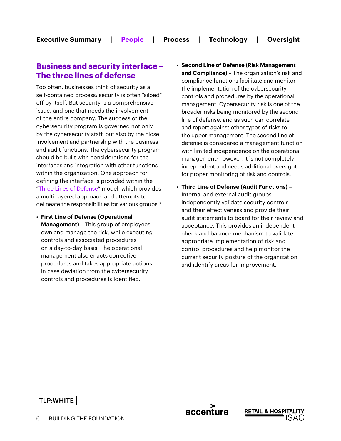#### **Business and security interface – The three lines of defense**

Too often, businesses think of security as a self-contained process: security is often "siloed" off by itself. But security is a comprehensive issue, and one that needs the involvement of the entire company. The success of the cybersecurity program is governed not only by the cybersecurity staff, but also by the close involvement and partnership with the business and audit functions. The cybersecurity program should be built with considerations for the interfaces and integration with other functions within the organization. One approach for defining the interface is provided within the "[Three Lines of Defense"](https://na.theiia.org/standards-guidance/Public Documents/PP The Three Lines of Defense in Effective Risk Management and Control.pdf) model, which provides a multi-layered approach and attempts to delineate the responsibilities for various groups.3

- **First Line of Defense (Operational Management)** – This group of employees own and manage the risk, while executing controls and associated procedures on a day-to-day basis. The operational management also enacts corrective procedures and takes appropriate actions in case deviation from the cybersecurity controls and procedures is identified.
- **Second Line of Defense (Risk Management and Compliance)** – The organization's risk and compliance functions facilitate and monitor the implementation of the cybersecurity controls and procedures by the operational management. Cybersecurity risk is one of the broader risks being monitored by the second line of defense, and as such can correlate and report against other types of risks to the upper management. The second line of defense is considered a management function with limited independence on the operational management; however, it is not completely independent and needs additional oversight for proper monitoring of risk and controls.
- **Third Line of Defense (Audit Functions)** Internal and external audit groups independently validate security controls and their effectiveness and provide their audit statements to board for their review and acceptance. This provides an independent check and balance mechanism to validate appropriate implementation of risk and control procedures and help monitor the current security posture of the organization and identify areas for improvement.

accenture

**RETAIL & HOSPIT/**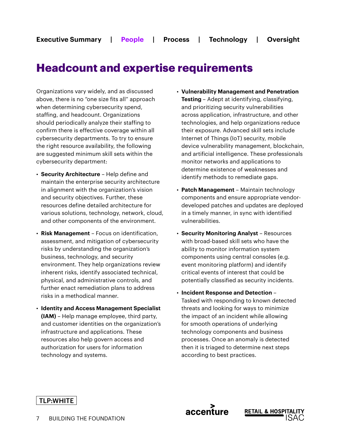### **Headcount and expertise requirements**

Organizations vary widely, and as discussed above, there is no "one size fits all" approach when determining cybersecurity spend, staffing, and headcount. Organizations should periodically analyze their staffing to confirm there is effective coverage within all cybersecurity departments. To try to ensure the right resource availability, the following are suggested minimum skill sets within the cybersecurity department:

- **Security Architecture** Help define and maintain the enterprise security architecture in alignment with the organization's vision and security objectives. Further, these resources define detailed architecture for various solutions, technology, network, cloud, and other components of the environment.
- **Risk Management** Focus on identification, assessment, and mitigation of cybersecurity risks by understanding the organization's business, technology, and security environment. They help organizations review inherent risks, identify associated technical, physical, and administrative controls, and further enact remediation plans to address risks in a methodical manner.
- **Identity and Access Management Specialist (IAM)** – Help manage employee, third party, and customer identities on the organization's infrastructure and applications. These resources also help govern access and authorization for users for information technology and systems.
- **Vulnerability Management and Penetration Testing** – Adept at identifying, classifying, and prioritizing security vulnerabilities across application, infrastructure, and other technologies, and help organizations reduce their exposure. Advanced skill sets include Internet of Things (IoT) security, mobile device vulnerability management, blockchain, and artificial intelligence. These professionals monitor networks and applications to determine existence of weaknesses and identify methods to remediate gaps.
- **Patch Management** Maintain technology components and ensure appropriate vendordeveloped patches and updates are deployed in a timely manner, in sync with identified vulnerabilities.
- **Security Monitoring Analyst** Resources with broad-based skill sets who have the ability to monitor information system components using central consoles (e.g. event monitoring platform) and identify critical events of interest that could be potentially classified as security incidents.
- **Incident Response and Detection** Tasked with responding to known detected threats and looking for ways to minimize the impact of an incident while allowing for smooth operations of underlying technology components and business processes. Once an anomaly is detected then it is triaged to determine next steps according to best practices.



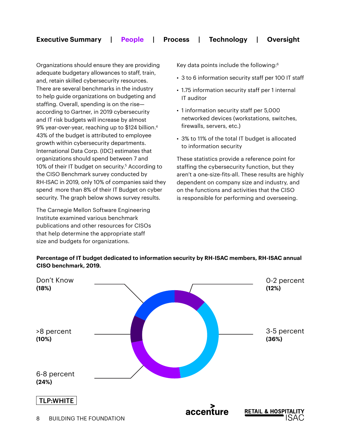#### **Executive Summary | People | Process | Technology | Oversight**

Organizations should ensure they are providing adequate budgetary allowances to staff, train, and, retain skilled cybersecurity resources. There are several benchmarks in the industry to help guide organizations on budgeting and staffing. Overall, spending is on the rise according to Gartner, in 2019 cybersecurity and IT risk budgets will increase by almost 9% year-over-year, reaching up to \$124 billion.<sup>4</sup> 43% of the budget is attributed to employee growth within cybersecurity departments. International Data Corp. (IDC) estimates that organizations should spend between 7 and 10% of their IT budget on security.<sup>5</sup> According to the CISO Benchmark survey conducted by RH-ISAC in 2019, only 10% of companies said they spend more than 8% of their IT Budget on cyber security. The graph below shows survey results.

The Carnegie Mellon Software Engineering Institute examined various benchmark publications and other resources for CISOs that help determine the appropriate staff size and budgets for organizations.

Key data points include the following:6

- 3 to 6 information security staff per 100 IT staff
- 1.75 information security staff per 1 internal IT auditor
- 1 information security staff per 5,000 networked devices (workstations, switches, firewalls, servers, etc.)
- 3% to 11% of the total IT budget is allocated to information security

These statistics provide a reference point for staffing the cybersecurity function, but they aren't a one-size-fits-all. These results are highly dependent on company size and industry, and on the functions and activities that the CISO is responsible for performing and overseeing.

#### **Percentage of IT budget dedicated to information security by RH-ISAC members, RH-ISAC annual CISO benchmark, 2019.**

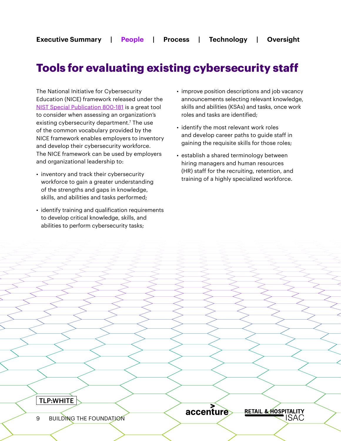## **Tools for evaluating existing cybersecurity staff**

The National Initiative for Cybersecurity Education (NICE) framework released under the [NIST Special Publication 800-181](https://csrc.nist.gov/publications/detail/sp/800-181/final) is a great tool to consider when assessing an organization's existing cybersecurity department.<sup>7</sup> The use of the common vocabulary provided by the NICE framework enables employers to inventory and develop their cybersecurity workforce. The NICE framework can be used by employers and organizational leadership to:

- inventory and track their cybersecurity workforce to gain a greater understanding of the strengths and gaps in knowledge, skills, and abilities and tasks performed;
- identify training and qualification requirements to develop critical knowledge, skills, and abilities to perform cybersecurity tasks;
- improve position descriptions and job vacancy announcements selecting relevant knowledge, skills and abilities (KSAs) and tasks, once work roles and tasks are identified;
- identify the most relevant work roles and develop career paths to guide staff in gaining the requisite skills for those roles;
- establish a shared terminology between hiring managers and human resources (HR) staff for the recruiting, retention, and training of a highly specialized workforce.

TLP:WHITE

accenture



9 BUILDING THE FOUNDATION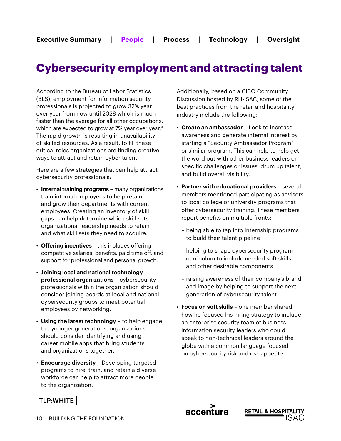## **Cybersecurity employment and attracting talent**

According to the Bureau of Labor Statistics (BLS), employment for information security professionals is projected to grow 32% year over year from now until 2028 which is much faster than the average for all other occupations, which are expected to grow at 7% year over year.<sup>8</sup> The rapid growth is resulting in unavailability of skilled resources. As a result, to fill these critical roles organizations are finding creative ways to attract and retain cyber talent.

Here are a few strategies that can help attract cybersecurity professionals:

- **Internal training programs** many organizations train internal employees to help retain and grow their departments with current employees. Creating an inventory of skill gaps can help determine which skill sets organizational leadership needs to retain and what skill sets they need to acquire.
- **Offering incentives** this includes offering competitive salaries, benefits, paid time off, and support for professional and personal growth.
- **Joining local and national technology professional organizations** – cybersecurity professionals within the organization should consider joining boards at local and national cybersecurity groups to meet potential employees by networking.
- **Using the latest technology** to help engage the younger generations, organizations should consider identifying and using career mobile apps that bring students and organizations together.
- **Encourage diversity** Developing targeted programs to hire, train, and retain a diverse workforce can help to attract more people to the organization.

Additionally, based on a CISO Community Discussion hosted by RH-ISAC, some of the best practices from the retail and hospitality industry include the following:

- **Create an ambassador** Look to increase awareness and generate internal interest by starting a "Security Ambassador Program" or similar program. This can help to help get the word out with other business leaders on specific challenges or issues, drum up talent, and build overall visibility.
- **Partner with educational providers** several members mentioned participating as advisors to local college or university programs that offer cybersecurity training. These members report benefits on multiple fronts:
	- being able to tap into internship programs to build their talent pipeline
	- helping to shape cybersecurity program curriculum to include needed soft skills and other desirable components
	- raising awareness of their company's brand and image by helping to support the next generation of cybersecurity talent
- **Focus on soft skills** one member shared how he focused his hiring strategy to include an enterprise security team of business information security leaders who could speak to non-technical leaders around the globe with a common language focused on cybersecurity risk and risk appetite.

**RETAIL & HOSPI** 

accenture

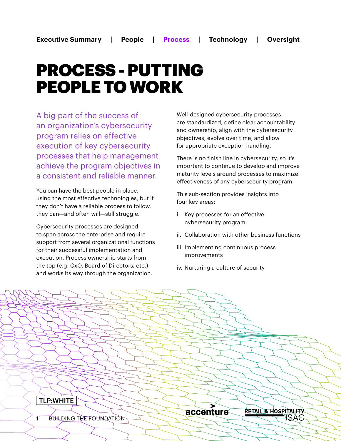## PROCESS - PUTTING PEOPLE TO WORK

A big part of the success of an organization's cybersecurity program relies on effective execution of key cybersecurity processes that help management achieve the program objectives in a consistent and reliable manner.

You can have the best people in place, using the most effective technologies, but if they don't have a reliable process to follow, they can—and often will—still struggle.

Cybersecurity processes are designed to span across the enterprise and require support from several organizational functions for their successful implementation and execution. Process ownership starts from the top (e.g. CxO, Board of Directors, etc.) and works its way through the organization.

Well-designed cybersecurity processes are standardized, define clear accountability and ownership, align with the cybersecurity objectives, evolve over time, and allow for appropriate exception handling.

There is no finish line in cybersecurity, so it's important to continue to develop and improve maturity levels around processes to maximize effectiveness of any cybersecurity program.

This sub-section provides insights into four key areas:

- i. Key processes for an effective cybersecurity program
- ii. Collaboration with other business functions
- iii. Implementing continuous process improvements
- iv. Nurturing a culture of security

accenture

RETAIL & HOSPITA<del>LITY</del>

ISAS

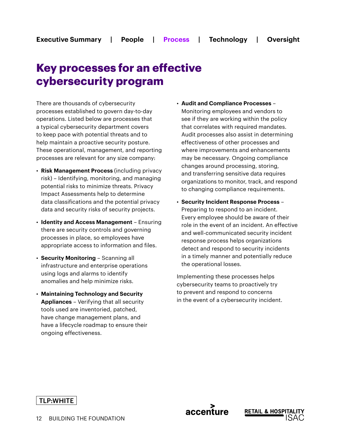## **Key processes for an effective cybersecurity program**

There are thousands of cybersecurity processes established to govern day-to-day operations. Listed below are processes that a typical cybersecurity department covers to keep pace with potential threats and to help maintain a proactive security posture. These operational, management, and reporting processes are relevant for any size company:

- **Risk Management Process** (including privacy risk) – Identifying, monitoring, and managing potential risks to minimize threats. Privacy Impact Assessments help to determine data classifications and the potential privacy data and security risks of security projects.
- **Identity and Access Management** Ensuring there are security controls and governing processes in place, so employees have appropriate access to information and files.
- **Security Monitoring** Scanning all infrastructure and enterprise operations using logs and alarms to identify anomalies and help minimize risks.
- **Maintaining Technology and Security Appliances** – Verifying that all security tools used are inventoried, patched, have change management plans, and have a lifecycle roadmap to ensure their ongoing effectiveness.
- **Audit and Compliance Processes** Monitoring employees and vendors to see if they are working within the policy that correlates with required mandates. Audit processes also assist in determining effectiveness of other processes and where improvements and enhancements may be necessary. Ongoing compliance changes around processing, storing, and transferring sensitive data requires organizations to monitor, track, and respond to changing compliance requirements.
- **Security Incident Response Process** Preparing to respond to an incident. Every employee should be aware of their role in the event of an incident. An effective and well-communicated security incident response process helps organizations detect and respond to security incidents in a timely manner and potentially reduce the operational losses.

Implementing these processes helps cybersecurity teams to proactively try to prevent and respond to concerns in the event of a cybersecurity incident.

accenture

**RETAIL & HOSPI**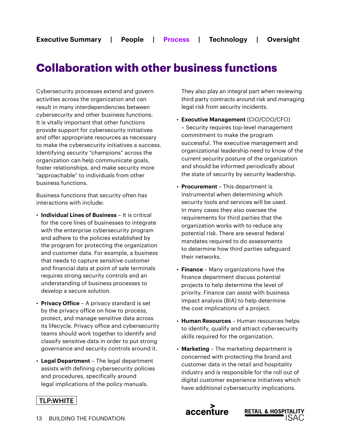## **Collaboration with other business functions**

Cybersecurity processes extend and govern activities across the organization and can result in many interdependencies between cybersecurity and other business functions. It is vitally important that other functions provide support for cybersecurity initiatives and offer appropriate resources as necessary to make the cybersecurity initiatives a success. Identifying security "champions" across the organization can help communicate goals, foster relationships, and make security more "approachable" to individuals from other business functions.

Business functions that security often has interactions with include:

- **Individual Lines of Business** It is critical for the core lines of businesses to integrate with the enterprise cybersecurity program and adhere to the policies established by the program for protecting the organization and customer data. For example, a business that needs to capture sensitive customer and financial data at point of sale terminals requires strong security controls and an understanding of business processes to develop a secure solution.
- **Privacy Office** A privacy standard is set by the privacy office on how to process, protect, and manage sensitive data across its lifecycle. Privacy office and cybersecurity teams should work together to identify and classify sensitive data in order to put strong governance and security controls around it.
- **Legal Department** The legal department assists with defining cybersecurity policies and procedures, specifically around legal implications of the policy manuals.

They also play an integral part when reviewing third party contracts around risk and managing legal risk from security incidents.

- **Executive Management** (CIO/COO/CFO) – Security requires top-level management commitment to make the program successful. The executive management and organizational leadership need to know of the current security posture of the organization and should be informed periodically about the state of security by security leadership.
- **Procurement**  This department is instrumental when determining which security tools and services will be used. In many cases they also oversee the requirements for third parties that the organization works with to reduce any potential risk. There are several federal mandates required to do assessments to determine how third parties safeguard their networks.
- **Finance**  Many organizations have the finance department discuss potential projects to help determine the level of priority. Finance can assist with business impact analysis (BIA) to help determine the cost implications of a project.
- **Human Resources** Human resources helps to identify, qualify and attract cybersecurity skills required for the organization.
- **Marketing** The marketing department is concerned with protecting the brand and customer data in the retail and hospitality industry and is responsible for the roll out of digital customer experience initiatives which have additional cybersecurity implications.

**RETAIL & HOSPITAL** 

accenture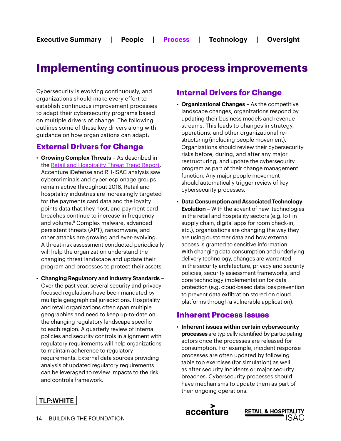## **Implementing continuous process improvements**

Cybersecurity is evolving continuously, and organizations should make every effort to establish continuous improvement processes to adapt their cybersecurity programs based on multiple drivers of change. The following outlines some of these key drivers along with guidance on how organizations can adapt:

#### **External Drivers for Change**

- **Growing Complex Threats** As described in the [Retail and Hospitality Threat Trend Report,](https://www.accenture.com/us-en/insights/consulting/retail-hospitality-threat-trend-report) Accenture iDefense and RH-ISAC analysis saw cybercriminals and cyber-espionage groups remain active throughout 2018. Retail and hospitality industries are increasingly targeted for the payments card data and the loyalty points data that they host, and payment card breaches continue to increase in frequency and volume.<sup>9</sup> Complex malware, advanced persistent threats (APT), ransomware, and other attacks are growing and ever-evolving. A threat-risk assessment conducted periodically will help the organization understand the changing threat landscape and update their program and processes to protect their assets.
- **Changing Regulatory and Industry Standards** Over the past year, several security and privacyfocused regulations have been mandated by multiple geographical jurisdictions. Hospitality and retail organizations often span multiple geographies and need to keep up-to-date on the changing regulatory landscape specific to each region. A quarterly review of internal policies and security controls in alignment with regulatory requirements will help organizations to maintain adherence to regulatory requirements. External data sources providing analysis of updated regulatory requirements can be leveraged to review impacts to the risk and controls framework.

#### **Internal Drivers for Change**

- **Organizational Changes** As the competitive landscape changes, organizations respond by updating their business models and revenue streams. This leads to changes in strategy, operations, and other organizational restructuring (including people movement). Organizations should review their cybersecurity risks before, during, and after any major restructuring, and update the cybersecurity program as part of their change management function. Any major people movement should automatically trigger review of key cybersecurity processes.
- **Data Consumption and Associated Technology Evolution** – With the advent of new technologies in the retail and hospitality sectors (e.g. IoT in supply chain, digital apps for room check-in, etc.), organizations are changing the way they are using customer data and how external access is granted to sensitive information. With changing data consumption and underlying delivery technology, changes are warranted in the security architecture, privacy and security policies, security assessment frameworks, and core technology implementation for data protection (e.g. cloud-based data loss prevention to prevent data exfiltration stored on cloud platforms through a vulnerable application).

#### **Inherent Process Issues**

• **Inherent issues within certain cybersecurity processes** are typically identified by participating actors once the processes are released for consumption. For example, incident response processes are often updated by following table top exercises (for simulation) as well as after security incidents or major security breaches. Cybersecurity processes should have mechanisms to update them as part of their ongoing operations.



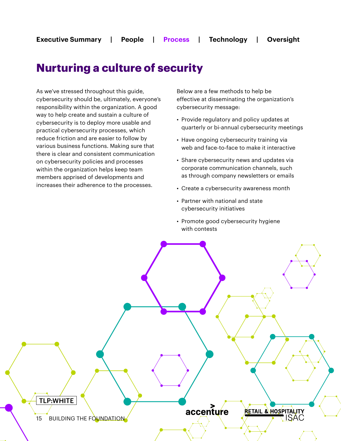### **Nurturing a culture of security**

As we've stressed throughout this guide, cybersecurity should be, ultimately, everyone's responsibility within the organization. A good way to help create and sustain a culture of cybersecurity is to deploy more usable and practical cybersecurity processes, which reduce friction and are easier to follow by various business functions. Making sure that there is clear and consistent communication on cybersecurity policies and processes within the organization helps keep team members apprised of developments and increases their adherence to the processes.

Below are a few methods to help be effective at disseminating the organization's cybersecurity message:

- Provide regulatory and policy updates at quarterly or bi-annual cybersecurity meetings
- Have ongoing cybersecurity training via web and face-to-face to make it interactive
- Share cybersecurity news and updates via corporate communication channels, such as through company newsletters or emails
- Create a cybersecurity awareness month
- Partner with national and state cybersecurity initiatives
- Promote good cybersecurity hygiene with contests

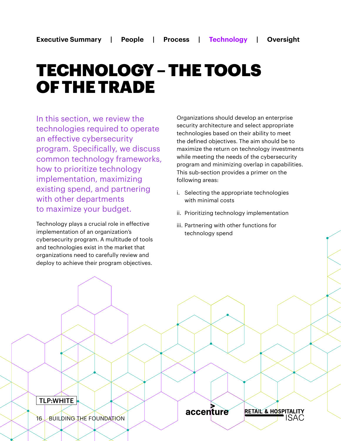## TECHNOLOGY – THE TOOLS OF THE TRADE

In this section, we review the technologies required to operate an effective cybersecurity program. Specifically, we discuss common technology frameworks, how to prioritize technology implementation, maximizing existing spend, and partnering with other departments to maximize your budget.

Technology plays a crucial role in effective implementation of an organization's cybersecurity program. A multitude of tools and technologies exist in the market that organizations need to carefully review and deploy to achieve their program objectives.

Organizations should develop an enterprise security architecture and select appropriate technologies based on their ability to meet the defined objectives. The aim should be to maximize the return on technology investments while meeting the needs of the cybersecurity program and minimizing overlap in capabilities. This sub-section provides a primer on the following areas:

- i. Selecting the appropriate technologies with minimal costs
- ii. Prioritizing technology implementation
- iii. Partnering with other functions for technology spend

accenture

RETAIL & HOSPITALITY

ISAC

TLP:WHITE

16 BUILDING THE FOUNDATION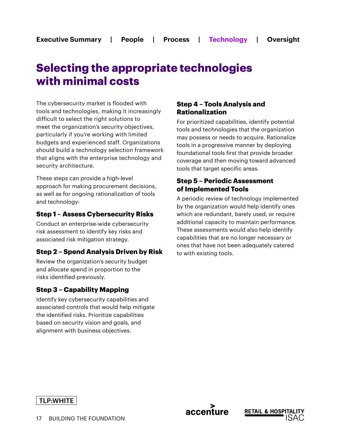## **Selecting the appropriate technologies with minimal costs**

The cybersecurity market is flooded with tools and technologies, making it increasingly difficult to select the right solutions to meet the organization's security objectives, particularly if you're working with limited budgets and experienced staff. Organizations should build a technology selection framework that aligns with the enterprise technology and security architecture.

These steps can provide a high-level approach for making procurement decisions, as well as for ongoing rationalization of tools and technology:

#### **Step 1 – Assess Cybersecurity Risks**

Conduct an enterprise-wide cybersecurity risk assessment to identify key risks and associated risk mitigation strategy.

#### **Step 2 – Spend Analysis Driven by Risk**

Review the organization's security budget and allocate spend in proportion to the risks identified previously.

#### **Step 3 – Capability Mapping**

Identify key cybersecurity capabilities and associated controls that would help mitigate the identified risks. Prioritize capabilities based on security vision and goals, and alignment with business objectives.

#### **Step 4 – Tools Analysis and Rationalization**

For prioritized capabilities, identify potential tools and technologies that the organization may possess or needs to acquire. Rationalize tools in a progressive manner by deploying foundational tools first that provide broader coverage and then moving toward advanced tools that target specific areas.

#### **Step 5 – Periodic Assessment of Implemented Tools**

A periodic review of technology implemented by the organization would help identify ones which are redundant, barely used, or require additional capacity to maintain performance. These assessments would also help identify capabilities that are no longer necessary or ones that have not been adequately catered to with existing tools.

#### TLP:WHITE

accenture

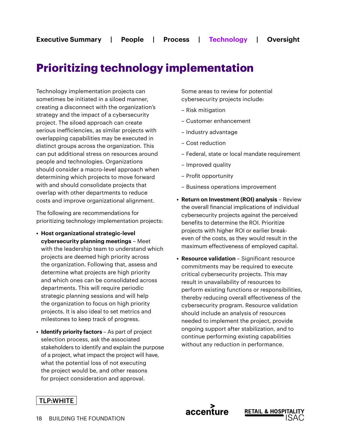## **Prioritizing technology implementation**

Technology implementation projects can sometimes be initiated in a siloed manner, creating a disconnect with the organization's strategy and the impact of a cybersecurity project. The siloed approach can create serious inefficiencies, as similar projects with overlapping capabilities may be executed in distinct groups across the organization. This can put additional stress on resources around people and technologies. Organizations should consider a macro-level approach when determining which projects to move forward with and should consolidate projects that overlap with other departments to reduce costs and improve organizational alignment.

The following are recommendations for prioritizing technology implementation projects:

- **• Host organizational strategic-level cybersecurity planning meetings** – Meet with the leadership team to understand which projects are deemed high priority across the organization. Following that, assess and determine what projects are high priority and which ones can be consolidated across departments. This will require periodic strategic planning sessions and will help the organization to focus on high priority projects. It is also ideal to set metrics and milestones to keep track of progress.
- **• Identify priority factors**  As part of project selection process, ask the associated stakeholders to identify and explain the purpose of a project, what impact the project will have, what the potential loss of not executing the project would be, and other reasons for project consideration and approval.

Some areas to review for potential cybersecurity projects include:

- Risk mitigation
- Customer enhancement
- Industry advantage
- Cost reduction
- Federal, state or local mandate requirement
- Improved quality
- Profit opportunity

accenture

- Business operations improvement
- **• Return on Investment (ROI) analysis** Review the overall financial implications of individual cybersecurity projects against the perceived benefits to determine the ROI. Prioritize projects with higher ROI or earlier breakeven of the costs, as they would result in the maximum effectiveness of employed capital.
- **• Resource validation**  Significant resource commitments may be required to execute critical cybersecurity projects. This may result in unavailability of resources to perform existing functions or responsibilities, thereby reducing overall effectiveness of the cybersecurity program. Resource validation should include an analysis of resources needed to implement the project, provide ongoing support after stabilization, and to continue performing existing capabilities without any reduction in performance.

**RETAIL & HOSPI**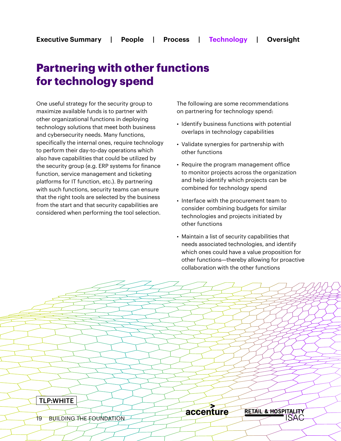## **Partnering with other functions for technology spend**

One useful strategy for the security group to maximize available funds is to partner with other organizational functions in deploying technology solutions that meet both business and cybersecurity needs. Many functions, specifically the internal ones, require technology to perform their day-to-day operations which also have capabilities that could be utilized by the security group (e.g. ERP systems for finance function, service management and ticketing platforms for IT function, etc.). By partnering with such functions, security teams can ensure that the right tools are selected by the business from the start and that security capabilities are considered when performing the tool selection.

The following are some recommendations on partnering for technology spend:

- Identify business functions with potential overlaps in technology capabilities
- Validate synergies for partnership with other functions
- Require the program management office to monitor projects across the organization and help identify which projects can be combined for technology spend
- Interface with the procurement team to consider combining budgets for similar technologies and projects initiated by other functions
- Maintain a list of security capabilities that needs associated technologies, and identify which ones could have a value proposition for other functions—thereby allowing for proactive collaboration with the other functions

TLP:WHITE

accenture

RETAIL & HOSPITALITY **ISAC** 

19 BUILDING THE FOUNDATION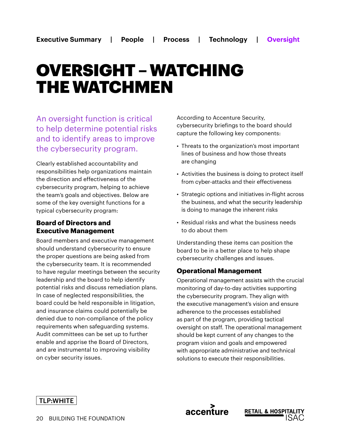## OVERSIGHT – WATCHING THE WATCHMEN

An oversight function is critical to help determine potential risks and to identify areas to improve the cybersecurity program.

Clearly established accountability and responsibilities help organizations maintain the direction and effectiveness of the cybersecurity program, helping to achieve the team's goals and objectives. Below are some of the key oversight functions for a typical cybersecurity program:

#### **Board of Directors and Executive Management**

Board members and executive management should understand cybersecurity to ensure the proper questions are being asked from the cybersecurity team. It is recommended to have regular meetings between the security leadership and the board to help identify potential risks and discuss remediation plans. In case of neglected responsibilities, the board could be held responsible in litigation, and insurance claims could potentially be denied due to non-compliance of the policy requirements when safeguarding systems. Audit committees can be set up to further enable and apprise the Board of Directors, and are instrumental to improving visibility on cyber security issues.

According to Accenture Security, cybersecurity briefings to the board should capture the following key components:

- Threats to the organization's most important lines of business and how those threats are changing
- Activities the business is doing to protect itself from cyber-attacks and their effectiveness
- Strategic options and initiatives in-flight across the business, and what the security leadership is doing to manage the inherent risks
- Residual risks and what the business needs to do about them

Understanding these items can position the board to be in a better place to help shape cybersecurity challenges and issues.

#### **Operational Management**

Operational management assists with the crucial monitoring of day-to-day activities supporting the cybersecurity program. They align with the executive management's vision and ensure adherence to the processes established as part of the program, providing tactical oversight on staff. The operational management should be kept current of any changes to the program vision and goals and empowered with appropriate administrative and technical solutions to execute their responsibilities.





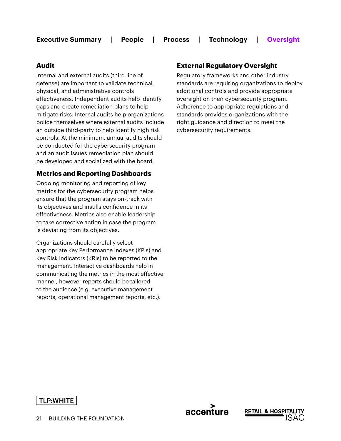#### **Audit**

Internal and external audits (third line of defense) are important to validate technical, physical, and administrative controls effectiveness. Independent audits help identify gaps and create remediation plans to help mitigate risks. Internal audits help organizations police themselves where external audits include an outside third-party to help identify high risk controls. At the minimum, annual audits should be conducted for the cybersecurity program and an audit issues remediation plan should be developed and socialized with the board.

#### **Metrics and Reporting Dashboards**

Ongoing monitoring and reporting of key metrics for the cybersecurity program helps ensure that the program stays on-track with its objectives and instills confidence in its effectiveness. Metrics also enable leadership to take corrective action in case the program is deviating from its objectives.

Organizations should carefully select appropriate Key Performance Indexes (KPIs) and Key Risk Indicators (KRIs) to be reported to the management. Interactive dashboards help in communicating the metrics in the most effective manner, however reports should be tailored to the audience (e.g. executive management reports, operational management reports, etc.).

#### **External Regulatory Oversight**

accenture

**RETAIL & HOSPI** 

Regulatory frameworks and other industry standards are requiring organizations to deploy additional controls and provide appropriate oversight on their cybersecurity program. Adherence to appropriate regulations and standards provides organizations with the right guidance and direction to meet the cybersecurity requirements.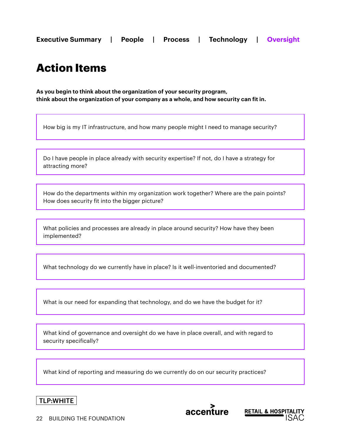## **Action Items**

**As you begin to think about the organization of your security program, think about the organization of your company as a whole, and how security can fit in.**

How big is my IT infrastructure, and how many people might I need to manage security?

Do I have people in place already with security expertise? If not, do I have a strategy for attracting more?

How do the departments within my organization work together? Where are the pain points? How does security fit into the bigger picture?

What policies and processes are already in place around security? How have they been implemented?

What technology do we currently have in place? Is it well-inventoried and documented?

What is our need for expanding that technology, and do we have the budget for it?

What kind of governance and oversight do we have in place overall, and with regard to security specifically?

What kind of reporting and measuring do we currently do on our security practices?





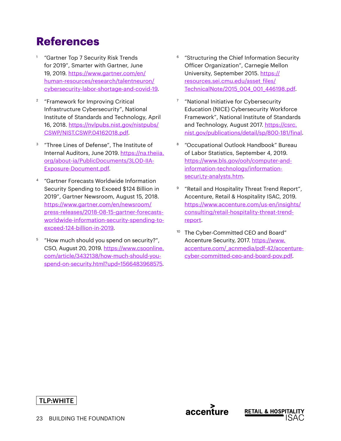## **References**

- "Gartner Top 7 Security Risk Trends for 2019", Smarter with Gartner, June 19, 2019. [https://www.gartner.com/en/](https://www.gartner.com/en/human-resources/research/talentneuron/cybersecurity-labor-shortage-and-covid-19) [human-resources/research/talentneuron/](https://www.gartner.com/en/human-resources/research/talentneuron/cybersecurity-labor-shortage-and-covid-19) [cybersecurity-labor-shortage-and-covid-19.](https://www.gartner.com/en/human-resources/research/talentneuron/cybersecurity-labor-shortage-and-covid-19)
- <sup>2</sup> "Framework for Improving Critical Infrastructure Cybersecurity", National Institute of Standards and Technology, April 16, 2018. [https://nvlpubs.nist.gov/nistpubs/](https://nvlpubs.nist.gov/nistpubs/CSWP/NIST.CSWP.04162018.pdf) [CSWP/NIST.CSWP.04162018.pdf](https://nvlpubs.nist.gov/nistpubs/CSWP/NIST.CSWP.04162018.pdf).
- <sup>3</sup> "Three Lines of Defense", The Institute of Internal Auditors, June 2019. [https://na.theiia.](https://na.theiia.org/about-ia/PublicDocuments/3LOD-IIA-Exposure-Document.pdf) [org/about-ia/PublicDocuments/3LOD-IIA-](https://na.theiia.org/about-ia/PublicDocuments/3LOD-IIA-Exposure-Document.pdf)[Exposure-Document.pdf.](https://na.theiia.org/about-ia/PublicDocuments/3LOD-IIA-Exposure-Document.pdf)
- <sup>4</sup> "Gartner Forecasts Worldwide Information Security Spending to Exceed \$124 Billion in 2019", Gartner Newsroom, August 15, 2018. [https://www.gartner.com/en/newsroom/](https://www.gartner.com/en/newsroom/press-releases/2018-08-15-gartner-forecasts-worldwide-information-security-spending-to-exceed-124-billion-in-2019) [press-releases/2018-08-15-gartner-forecasts](https://www.gartner.com/en/newsroom/press-releases/2018-08-15-gartner-forecasts-worldwide-information-security-spending-to-exceed-124-billion-in-2019)[worldwide-information-security-spending-to](https://www.gartner.com/en/newsroom/press-releases/2018-08-15-gartner-forecasts-worldwide-information-security-spending-to-exceed-124-billion-in-2019)[exceed-124-billion-in-2019.](https://www.gartner.com/en/newsroom/press-releases/2018-08-15-gartner-forecasts-worldwide-information-security-spending-to-exceed-124-billion-in-2019)
- <sup>5</sup> "How much should you spend on security?", CSO, August 20, 2019. [https://www.csoonline.](https://www.csoonline.com/article/3432138/how-much-should-you-spend-on-security.html?upd=1566483968575) [com/article/3432138/how-much-should-you](https://www.csoonline.com/article/3432138/how-much-should-you-spend-on-security.html?upd=1566483968575)[spend-on-security.html?upd=1566483968575](https://www.csoonline.com/article/3432138/how-much-should-you-spend-on-security.html?upd=1566483968575).
- <sup>6</sup> "Structuring the Chief Information Security Officer Organization", Carnegie Mellon University, September 2015. [https://](https://resources.sei.cmu.edu/asset_files/TechnicalNote/2015_004_001_446198.pdf) [resources.sei.cmu.edu/asset\\_files/](https://resources.sei.cmu.edu/asset_files/TechnicalNote/2015_004_001_446198.pdf) [TechnicalNote/2015\\_004\\_001\\_446198.pdf](https://resources.sei.cmu.edu/asset_files/TechnicalNote/2015_004_001_446198.pdf).
- <sup>7</sup> "National Initiative for Cybersecurity Education (NICE) Cybersecurity Workforce Framework", National Institute of Standards and Technology, August 2017. [https://csrc.](https://csrc.nist.gov/publications/detail/sp/800-181/final) [nist.gov/publications/detail/sp/800-181/final](https://csrc.nist.gov/publications/detail/sp/800-181/final).
- <sup>8</sup> "Occupational Outlook Handbook" Bureau of Labor Statistics, September 4, 2019. [https://www.bls.gov/ooh/computer-and](https://www.bls.gov/ooh/computer-and-information-technology/information-securi,ty-analysts.htm)[information-technology/information](https://www.bls.gov/ooh/computer-and-information-technology/information-securi,ty-analysts.htm)[securi,ty-analysts.htm](https://www.bls.gov/ooh/computer-and-information-technology/information-securi,ty-analysts.htm).
- "Retail and Hospitality Threat Trend Report", Accenture, Retail & Hospitality ISAC, 2019. [https://www.accenture.com/us-en/insights/](https://www.accenture.com/us-en/insights/consulting/retail-hospitality-threat-trend-report) [consulting/retail-hospitality-threat-trend](https://www.accenture.com/us-en/insights/consulting/retail-hospitality-threat-trend-report)[report](https://www.accenture.com/us-en/insights/consulting/retail-hospitality-threat-trend-report).
- <sup>10</sup> The Cyber-Committed CEO and Board" Accenture Security, 2017. [https://www.](https://www.accenture.com/_acnmedia/pdf-42/accenture-cyber-committed-ceo-and-board-pov.pdf) [accenture.com/\\_acnmedia/pdf-42/accenture](https://www.accenture.com/_acnmedia/pdf-42/accenture-cyber-committed-ceo-and-board-pov.pdf)[cyber-committed-ceo-and-board-pov.pdf.](https://www.accenture.com/_acnmedia/pdf-42/accenture-cyber-committed-ceo-and-board-pov.pdf)

**RETAIL & HOSPI** 

accenture